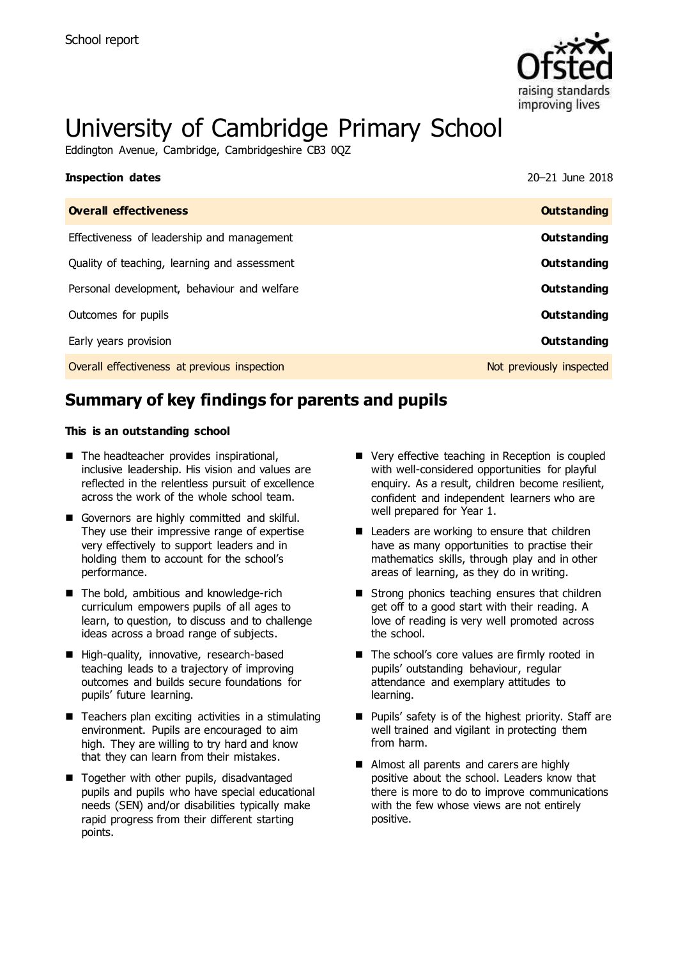

# University of Cambridge Primary School

Eddington Avenue, Cambridge, Cambridgeshire CB3 0QZ

| <b>Inspection dates</b>                      | 20-21 June 2018          |
|----------------------------------------------|--------------------------|
| <b>Overall effectiveness</b>                 | <b>Outstanding</b>       |
| Effectiveness of leadership and management   | Outstanding              |
| Quality of teaching, learning and assessment | Outstanding              |
| Personal development, behaviour and welfare  | <b>Outstanding</b>       |
| Outcomes for pupils                          | Outstanding              |
| Early years provision                        | Outstanding              |
| Overall effectiveness at previous inspection | Not previously inspected |

# **Summary of key findings for parents and pupils**

### **This is an outstanding school**

- The headteacher provides inspirational, inclusive leadership. His vision and values are reflected in the relentless pursuit of excellence across the work of the whole school team.
- Governors are highly committed and skilful. They use their impressive range of expertise very effectively to support leaders and in holding them to account for the school's performance.
- The bold, ambitious and knowledge-rich curriculum empowers pupils of all ages to learn, to question, to discuss and to challenge ideas across a broad range of subjects.
- High-quality, innovative, research-based teaching leads to a trajectory of improving outcomes and builds secure foundations for pupils' future learning.
- $\blacksquare$  Teachers plan exciting activities in a stimulating environment. Pupils are encouraged to aim high. They are willing to try hard and know that they can learn from their mistakes.
- Together with other pupils, disadvantaged pupils and pupils who have special educational needs (SEN) and/or disabilities typically make rapid progress from their different starting points.
- Very effective teaching in Reception is coupled with well-considered opportunities for playful enquiry. As a result, children become resilient, confident and independent learners who are well prepared for Year 1.
- Leaders are working to ensure that children have as many opportunities to practise their mathematics skills, through play and in other areas of learning, as they do in writing.
- Strong phonics teaching ensures that children get off to a good start with their reading. A love of reading is very well promoted across the school.
- The school's core values are firmly rooted in pupils' outstanding behaviour, regular attendance and exemplary attitudes to learning.
- **Pupils' safety is of the highest priority. Staff are** well trained and vigilant in protecting them from harm.
- Almost all parents and carers are highly positive about the school. Leaders know that there is more to do to improve communications with the few whose views are not entirely positive.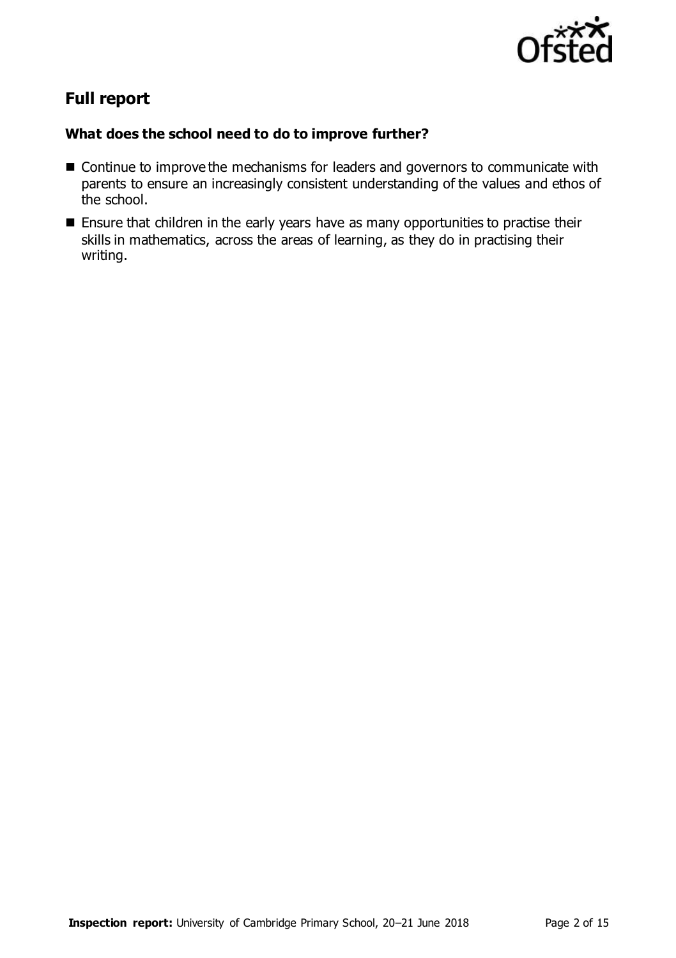

# **Full report**

### **What does the school need to do to improve further?**

- Continue to improve the mechanisms for leaders and governors to communicate with parents to ensure an increasingly consistent understanding of the values and ethos of the school.
- **Ensure that children in the early years have as many opportunities to practise their** skills in mathematics, across the areas of learning, as they do in practising their writing.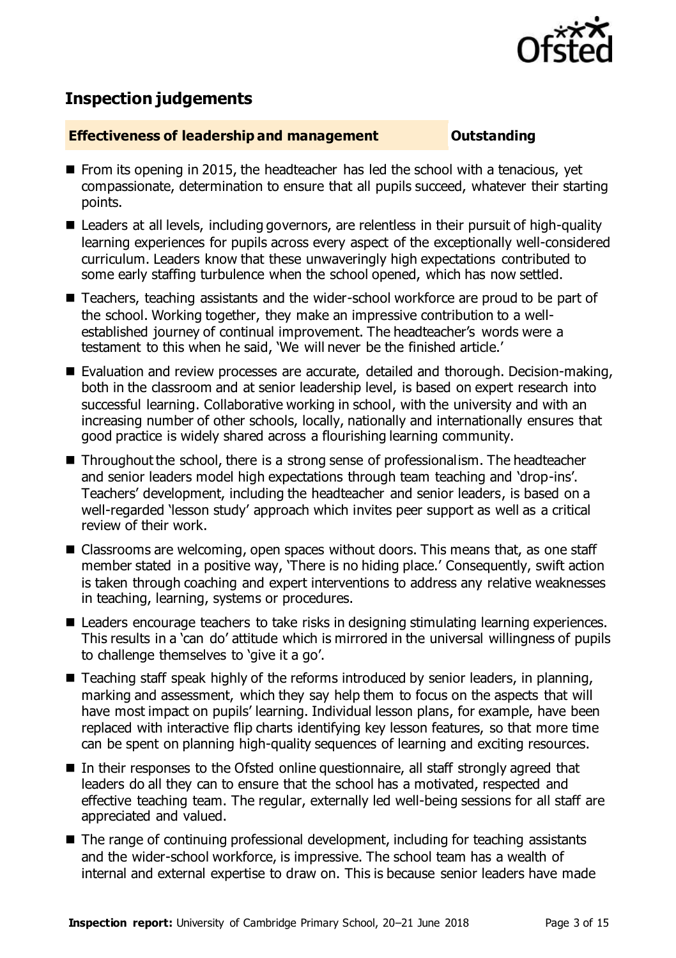

# **Inspection judgements**

### **Effectiveness of leadership and management Cultum Outstanding**

- $\blacksquare$  From its opening in 2015, the headteacher has led the school with a tenacious, yet compassionate, determination to ensure that all pupils succeed, whatever their starting points.
- Leaders at all levels, including governors, are relentless in their pursuit of high-quality learning experiences for pupils across every aspect of the exceptionally well-considered curriculum. Leaders know that these unwaveringly high expectations contributed to some early staffing turbulence when the school opened, which has now settled.
- Teachers, teaching assistants and the wider-school workforce are proud to be part of the school. Working together, they make an impressive contribution to a wellestablished journey of continual improvement. The headteacher's words were a testament to this when he said, 'We will never be the finished article.'
- Evaluation and review processes are accurate, detailed and thorough. Decision-making, both in the classroom and at senior leadership level, is based on expert research into successful learning. Collaborative working in school, with the university and with an increasing number of other schools, locally, nationally and internationally ensures that good practice is widely shared across a flourishing learning community.
- Throughout the school, there is a strong sense of professionalism. The headteacher and senior leaders model high expectations through team teaching and 'drop-ins'. Teachers' development, including the headteacher and senior leaders, is based on a well-regarded 'lesson study' approach which invites peer support as well as a critical review of their work.
- Classrooms are welcoming, open spaces without doors. This means that, as one staff member stated in a positive way, 'There is no hiding place.' Consequently, swift action is taken through coaching and expert interventions to address any relative weaknesses in teaching, learning, systems or procedures.
- Leaders encourage teachers to take risks in designing stimulating learning experiences. This results in a 'can do' attitude which is mirrored in the universal willingness of pupils to challenge themselves to 'give it a go'.
- Teaching staff speak highly of the reforms introduced by senior leaders, in planning, marking and assessment, which they say help them to focus on the aspects that will have most impact on pupils' learning. Individual lesson plans, for example, have been replaced with interactive flip charts identifying key lesson features, so that more time can be spent on planning high-quality sequences of learning and exciting resources.
- In their responses to the Ofsted online questionnaire, all staff strongly agreed that leaders do all they can to ensure that the school has a motivated, respected and effective teaching team. The regular, externally led well-being sessions for all staff are appreciated and valued.
- The range of continuing professional development, including for teaching assistants and the wider-school workforce, is impressive. The school team has a wealth of internal and external expertise to draw on. This is because senior leaders have made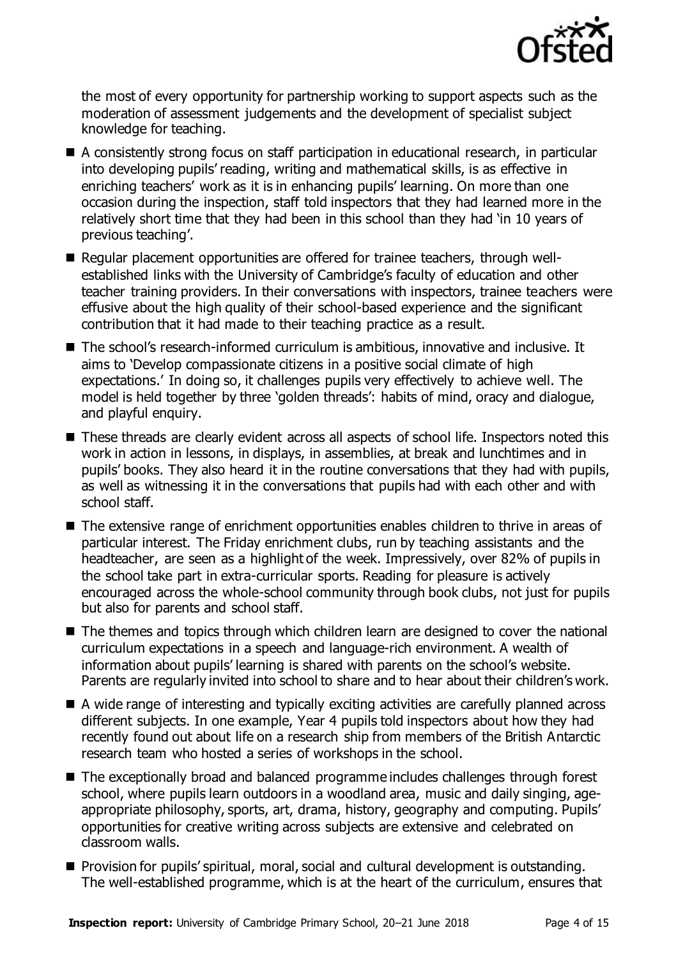

the most of every opportunity for partnership working to support aspects such as the moderation of assessment judgements and the development of specialist subject knowledge for teaching.

- A consistently strong focus on staff participation in educational research, in particular into developing pupils' reading, writing and mathematical skills, is as effective in enriching teachers' work as it is in enhancing pupils' learning. On more than one occasion during the inspection, staff told inspectors that they had learned more in the relatively short time that they had been in this school than they had 'in 10 years of previous teaching'.
- Regular placement opportunities are offered for trainee teachers, through wellestablished links with the University of Cambridge's faculty of education and other teacher training providers. In their conversations with inspectors, trainee teachers were effusive about the high quality of their school-based experience and the significant contribution that it had made to their teaching practice as a result.
- The school's research-informed curriculum is ambitious, innovative and inclusive. It aims to 'Develop compassionate citizens in a positive social climate of high expectations.' In doing so, it challenges pupils very effectively to achieve well. The model is held together by three 'golden threads': habits of mind, oracy and dialogue, and playful enquiry.
- These threads are clearly evident across all aspects of school life. Inspectors noted this work in action in lessons, in displays, in assemblies, at break and lunchtimes and in pupils' books. They also heard it in the routine conversations that they had with pupils, as well as witnessing it in the conversations that pupils had with each other and with school staff.
- The extensive range of enrichment opportunities enables children to thrive in areas of particular interest. The Friday enrichment clubs, run by teaching assistants and the headteacher, are seen as a highlight of the week. Impressively, over 82% of pupils in the school take part in extra-curricular sports. Reading for pleasure is actively encouraged across the whole-school community through book clubs, not just for pupils but also for parents and school staff.
- The themes and topics through which children learn are designed to cover the national curriculum expectations in a speech and language-rich environment. A wealth of information about pupils' learning is shared with parents on the school's website. Parents are regularly invited into school to share and to hear about their children's work.
- A wide range of interesting and typically exciting activities are carefully planned across different subjects. In one example, Year 4 pupils told inspectors about how they had recently found out about life on a research ship from members of the British Antarctic research team who hosted a series of workshops in the school.
- The exceptionally broad and balanced programme includes challenges through forest school, where pupils learn outdoors in a woodland area, music and daily singing, ageappropriate philosophy, sports, art, drama, history, geography and computing. Pupils' opportunities for creative writing across subjects are extensive and celebrated on classroom walls.
- **Provision for pupils' spiritual, moral, social and cultural development is outstanding.** The well-established programme, which is at the heart of the curriculum, ensures that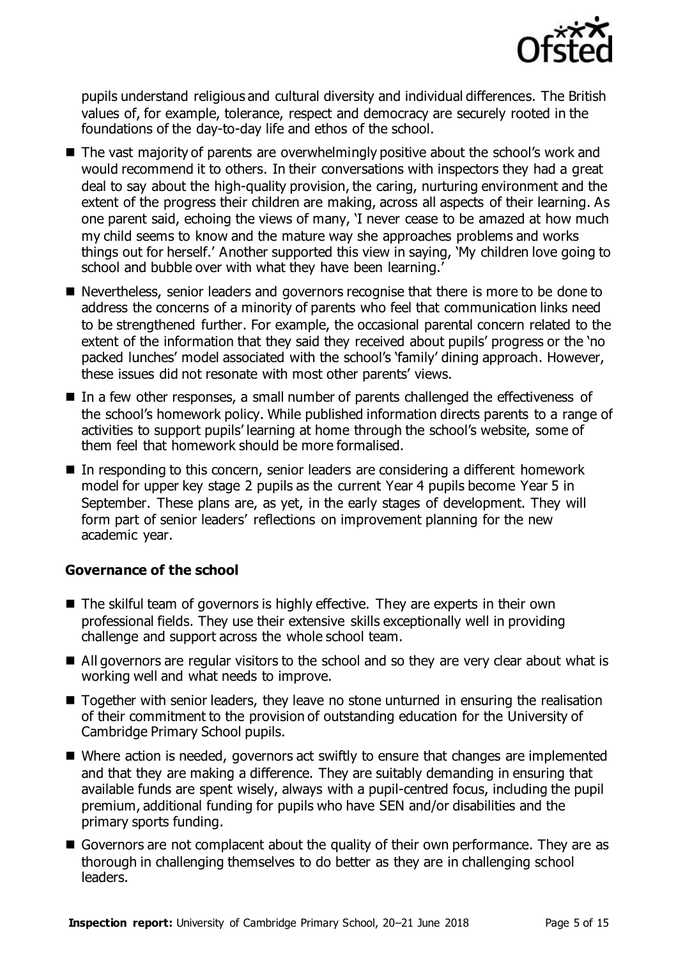

pupils understand religious and cultural diversity and individual differences. The British values of, for example, tolerance, respect and democracy are securely rooted in the foundations of the day-to-day life and ethos of the school.

- The vast majority of parents are overwhelmingly positive about the school's work and would recommend it to others. In their conversations with inspectors they had a great deal to say about the high-quality provision, the caring, nurturing environment and the extent of the progress their children are making, across all aspects of their learning. As one parent said, echoing the views of many, 'I never cease to be amazed at how much my child seems to know and the mature way she approaches problems and works things out for herself.' Another supported this view in saying, 'My children love going to school and bubble over with what they have been learning.
- Nevertheless, senior leaders and governors recognise that there is more to be done to address the concerns of a minority of parents who feel that communication links need to be strengthened further. For example, the occasional parental concern related to the extent of the information that they said they received about pupils' progress or the 'no packed lunches' model associated with the school's 'family' dining approach. However, these issues did not resonate with most other parents' views.
- In a few other responses, a small number of parents challenged the effectiveness of the school's homework policy. While published information directs parents to a range of activities to support pupils' learning at home through the school's website, some of them feel that homework should be more formalised.
- In responding to this concern, senior leaders are considering a different homework model for upper key stage 2 pupils as the current Year 4 pupils become Year 5 in September. These plans are, as yet, in the early stages of development. They will form part of senior leaders' reflections on improvement planning for the new academic year.

### **Governance of the school**

- The skilful team of governors is highly effective. They are experts in their own professional fields. They use their extensive skills exceptionally well in providing challenge and support across the whole school team.
- All governors are regular visitors to the school and so they are very clear about what is working well and what needs to improve.
- Together with senior leaders, they leave no stone unturned in ensuring the realisation of their commitment to the provision of outstanding education for the University of Cambridge Primary School pupils.
- Where action is needed, governors act swiftly to ensure that changes are implemented and that they are making a difference. They are suitably demanding in ensuring that available funds are spent wisely, always with a pupil-centred focus, including the pupil premium, additional funding for pupils who have SEN and/or disabilities and the primary sports funding.
- Governors are not complacent about the quality of their own performance. They are as thorough in challenging themselves to do better as they are in challenging school leaders.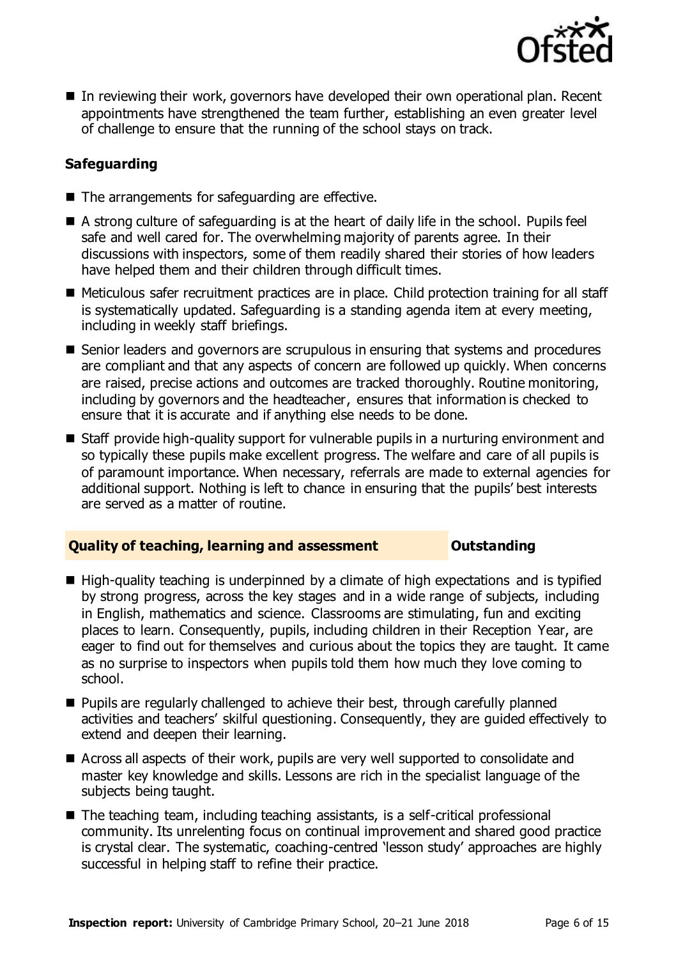

■ In reviewing their work, governors have developed their own operational plan. Recent appointments have strengthened the team further, establishing an even greater level of challenge to ensure that the running of the school stays on track.

### **Safeguarding**

- The arrangements for safeguarding are effective.
- A strong culture of safeguarding is at the heart of daily life in the school. Pupils feel safe and well cared for. The overwhelming majority of parents agree. In their discussions with inspectors, some of them readily shared their stories of how leaders have helped them and their children through difficult times.
- Meticulous safer recruitment practices are in place. Child protection training for all staff is systematically updated. Safeguarding is a standing agenda item at every meeting, including in weekly staff briefings.
- Senior leaders and governors are scrupulous in ensuring that systems and procedures are compliant and that any aspects of concern are followed up quickly. When concerns are raised, precise actions and outcomes are tracked thoroughly. Routine monitoring, including by governors and the headteacher, ensures that information is checked to ensure that it is accurate and if anything else needs to be done.
- Staff provide high-quality support for vulnerable pupils in a nurturing environment and so typically these pupils make excellent progress. The welfare and care of all pupils is of paramount importance. When necessary, referrals are made to external agencies for additional support. Nothing is left to chance in ensuring that the pupils' best interests are served as a matter of routine.

### **Quality of teaching, learning and assessment Outstanding**

- High-quality teaching is underpinned by a climate of high expectations and is typified by strong progress, across the key stages and in a wide range of subjects, including in English, mathematics and science. Classrooms are stimulating, fun and exciting places to learn. Consequently, pupils, including children in their Reception Year, are eager to find out for themselves and curious about the topics they are taught. It came as no surprise to inspectors when pupils told them how much they love coming to school.
- Pupils are regularly challenged to achieve their best, through carefully planned activities and teachers' skilful questioning. Consequently, they are guided effectively to extend and deepen their learning.
- Across all aspects of their work, pupils are very well supported to consolidate and master key knowledge and skills. Lessons are rich in the specialist language of the subjects being taught.
- The teaching team, including teaching assistants, is a self-critical professional community. Its unrelenting focus on continual improvement and shared good practice is crystal clear. The systematic, coaching-centred 'lesson study' approaches are highly successful in helping staff to refine their practice.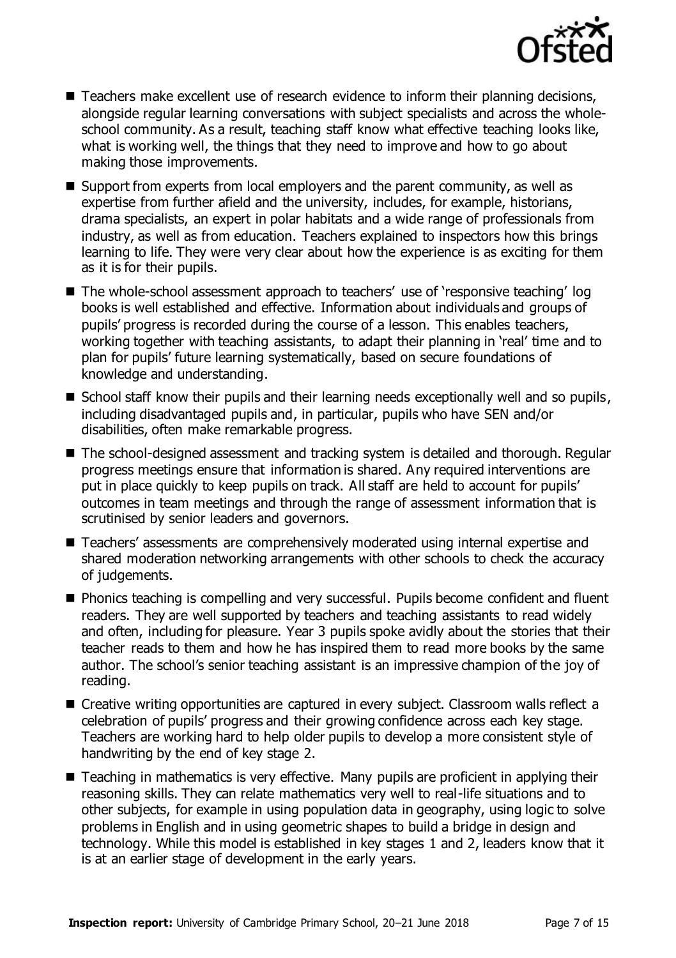

- Teachers make excellent use of research evidence to inform their planning decisions, alongside regular learning conversations with subject specialists and across the wholeschool community. As a result, teaching staff know what effective teaching looks like, what is working well, the things that they need to improve and how to go about making those improvements.
- Support from experts from local employers and the parent community, as well as expertise from further afield and the university, includes, for example, historians, drama specialists, an expert in polar habitats and a wide range of professionals from industry, as well as from education. Teachers explained to inspectors how this brings learning to life. They were very clear about how the experience is as exciting for them as it is for their pupils.
- The whole-school assessment approach to teachers' use of 'responsive teaching' log books is well established and effective. Information about individuals and groups of pupils' progress is recorded during the course of a lesson. This enables teachers, working together with teaching assistants, to adapt their planning in 'real' time and to plan for pupils' future learning systematically, based on secure foundations of knowledge and understanding.
- School staff know their pupils and their learning needs exceptionally well and so pupils, including disadvantaged pupils and, in particular, pupils who have SEN and/or disabilities, often make remarkable progress.
- The school-designed assessment and tracking system is detailed and thorough. Regular progress meetings ensure that information is shared. Any required interventions are put in place quickly to keep pupils on track. All staff are held to account for pupils' outcomes in team meetings and through the range of assessment information that is scrutinised by senior leaders and governors.
- Teachers' assessments are comprehensively moderated using internal expertise and shared moderation networking arrangements with other schools to check the accuracy of judgements.
- **Phonics teaching is compelling and very successful. Pupils become confident and fluent** readers. They are well supported by teachers and teaching assistants to read widely and often, including for pleasure. Year 3 pupils spoke avidly about the stories that their teacher reads to them and how he has inspired them to read more books by the same author. The school's senior teaching assistant is an impressive champion of the joy of reading.
- Creative writing opportunities are captured in every subject. Classroom walls reflect a celebration of pupils' progress and their growing confidence across each key stage. Teachers are working hard to help older pupils to develop a more consistent style of handwriting by the end of key stage 2.
- Teaching in mathematics is very effective. Many pupils are proficient in applying their reasoning skills. They can relate mathematics very well to real-life situations and to other subjects, for example in using population data in geography, using logic to solve problems in English and in using geometric shapes to build a bridge in design and technology. While this model is established in key stages 1 and 2, leaders know that it is at an earlier stage of development in the early years.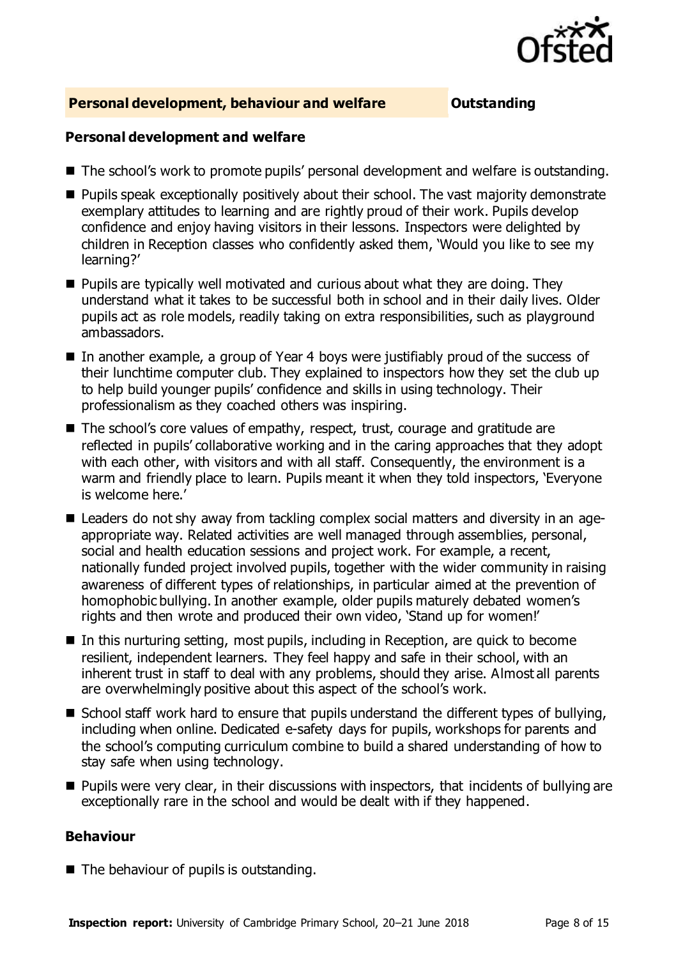

### **Personal development, behaviour and welfare <b>COU COUTS** Outstanding

### **Personal development and welfare**

- The school's work to promote pupils' personal development and welfare is outstanding.
- **Pupils speak exceptionally positively about their school. The vast majority demonstrate** exemplary attitudes to learning and are rightly proud of their work. Pupils develop confidence and enjoy having visitors in their lessons. Inspectors were delighted by children in Reception classes who confidently asked them, 'Would you like to see my learning?'
- $\blacksquare$  Pupils are typically well motivated and curious about what they are doing. They understand what it takes to be successful both in school and in their daily lives. Older pupils act as role models, readily taking on extra responsibilities, such as playground ambassadors.
- In another example, a group of Year 4 boys were justifiably proud of the success of their lunchtime computer club. They explained to inspectors how they set the club up to help build younger pupils' confidence and skills in using technology. Their professionalism as they coached others was inspiring.
- The school's core values of empathy, respect, trust, courage and gratitude are reflected in pupils' collaborative working and in the caring approaches that they adopt with each other, with visitors and with all staff. Consequently, the environment is a warm and friendly place to learn. Pupils meant it when they told inspectors, 'Everyone is welcome here.'
- Leaders do not shy away from tackling complex social matters and diversity in an ageappropriate way. Related activities are well managed through assemblies, personal, social and health education sessions and project work. For example, a recent, nationally funded project involved pupils, together with the wider community in raising awareness of different types of relationships, in particular aimed at the prevention of homophobic bullying. In another example, older pupils maturely debated women's rights and then wrote and produced their own video, 'Stand up for women!'
- In this nurturing setting, most pupils, including in Reception, are quick to become resilient, independent learners. They feel happy and safe in their school, with an inherent trust in staff to deal with any problems, should they arise. Almost all parents are overwhelmingly positive about this aspect of the school's work.
- School staff work hard to ensure that pupils understand the different types of bullying, including when online. Dedicated e-safety days for pupils, workshops for parents and the school's computing curriculum combine to build a shared understanding of how to stay safe when using technology.
- $\blacksquare$  Pupils were very clear, in their discussions with inspectors, that incidents of bullying are exceptionally rare in the school and would be dealt with if they happened.

### **Behaviour**

 $\blacksquare$  The behaviour of pupils is outstanding.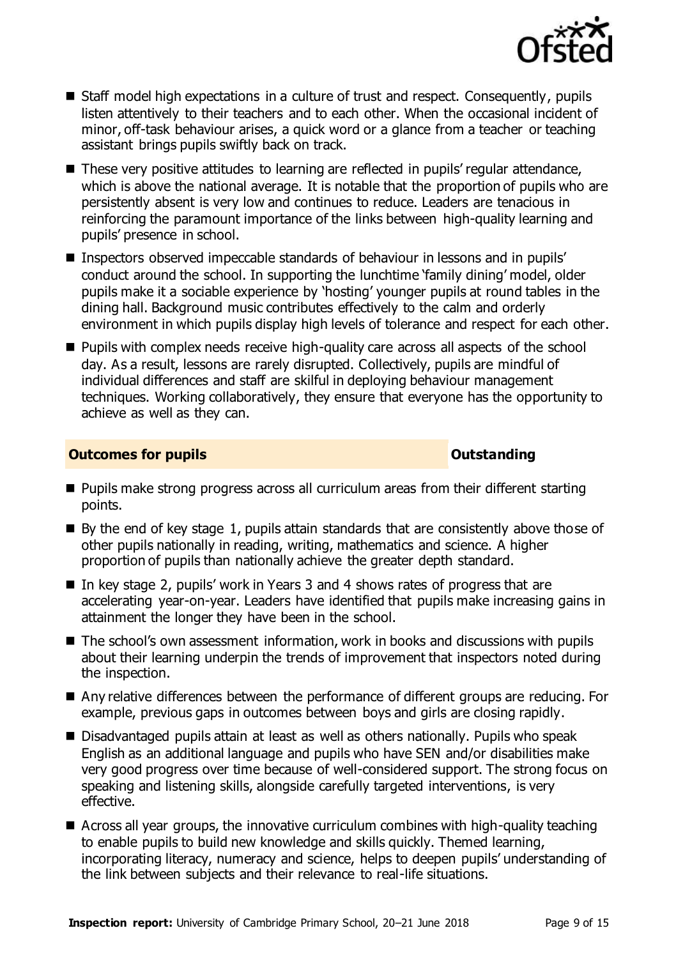

- Staff model high expectations in a culture of trust and respect. Consequently, pupils listen attentively to their teachers and to each other. When the occasional incident of minor, off-task behaviour arises, a quick word or a glance from a teacher or teaching assistant brings pupils swiftly back on track.
- These very positive attitudes to learning are reflected in pupils' regular attendance, which is above the national average. It is notable that the proportion of pupils who are persistently absent is very low and continues to reduce. Leaders are tenacious in reinforcing the paramount importance of the links between high-quality learning and pupils' presence in school.
- Inspectors observed impeccable standards of behaviour in lessons and in pupils' conduct around the school. In supporting the lunchtime 'family dining' model, older pupils make it a sociable experience by 'hosting' younger pupils at round tables in the dining hall. Background music contributes effectively to the calm and orderly environment in which pupils display high levels of tolerance and respect for each other.
- **Pupils with complex needs receive high-quality care across all aspects of the school** day. As a result, lessons are rarely disrupted. Collectively, pupils are mindful of individual differences and staff are skilful in deploying behaviour management techniques. Working collaboratively, they ensure that everyone has the opportunity to achieve as well as they can.

### **Outcomes for pupils Outstanding**

- **Pupils make strong progress across all curriculum areas from their different starting** points.
- By the end of key stage 1, pupils attain standards that are consistently above those of other pupils nationally in reading, writing, mathematics and science. A higher proportion of pupils than nationally achieve the greater depth standard.
- In key stage 2, pupils' work in Years 3 and 4 shows rates of progress that are accelerating year-on-year. Leaders have identified that pupils make increasing gains in attainment the longer they have been in the school.
- The school's own assessment information, work in books and discussions with pupils about their learning underpin the trends of improvement that inspectors noted during the inspection.
- Any relative differences between the performance of different groups are reducing. For example, previous gaps in outcomes between boys and girls are closing rapidly.
- Disadvantaged pupils attain at least as well as others nationally. Pupils who speak English as an additional language and pupils who have SEN and/or disabilities make very good progress over time because of well-considered support. The strong focus on speaking and listening skills, alongside carefully targeted interventions, is very effective.
- Across all year groups, the innovative curriculum combines with high-quality teaching to enable pupils to build new knowledge and skills quickly. Themed learning, incorporating literacy, numeracy and science, helps to deepen pupils' understanding of the link between subjects and their relevance to real-life situations.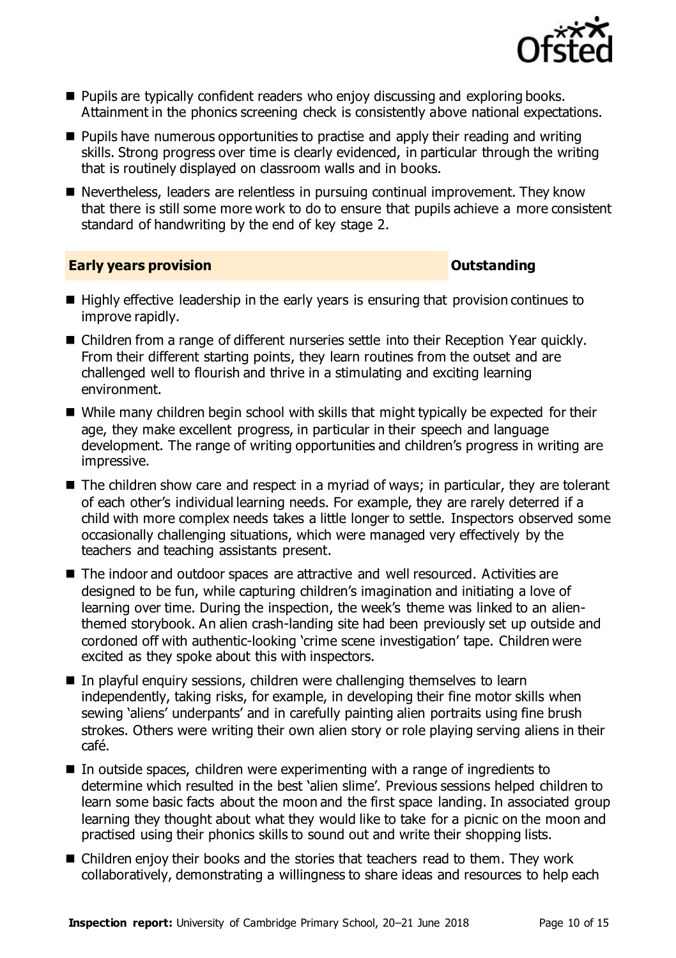

- **Pupils are typically confident readers who enjoy discussing and exploring books.** Attainment in the phonics screening check is consistently above national expectations.
- **Pupils have numerous opportunities to practise and apply their reading and writing** skills. Strong progress over time is clearly evidenced, in particular through the writing that is routinely displayed on classroom walls and in books.
- Nevertheless, leaders are relentless in pursuing continual improvement. They know that there is still some more work to do to ensure that pupils achieve a more consistent standard of handwriting by the end of key stage 2.

### **Early years provision Contract Contract Contract Contract Contract Contract Contract Contract Contract Contract Contract Contract Contract Contract Contract Contract Contract Contract Contract Contract Contract Contract**

- $\blacksquare$  Highly effective leadership in the early years is ensuring that provision continues to improve rapidly.
- Children from a range of different nurseries settle into their Reception Year quickly. From their different starting points, they learn routines from the outset and are challenged well to flourish and thrive in a stimulating and exciting learning environment.
- While many children begin school with skills that might typically be expected for their age, they make excellent progress, in particular in their speech and language development. The range of writing opportunities and children's progress in writing are impressive.
- The children show care and respect in a myriad of ways; in particular, they are tolerant of each other's individual learning needs. For example, they are rarely deterred if a child with more complex needs takes a little longer to settle. Inspectors observed some occasionally challenging situations, which were managed very effectively by the teachers and teaching assistants present.
- The indoor and outdoor spaces are attractive and well resourced. Activities are designed to be fun, while capturing children's imagination and initiating a love of learning over time. During the inspection, the week's theme was linked to an alienthemed storybook. An alien crash-landing site had been previously set up outside and cordoned off with authentic-looking 'crime scene investigation' tape. Children were excited as they spoke about this with inspectors.
- In playful enquiry sessions, children were challenging themselves to learn independently, taking risks, for example, in developing their fine motor skills when sewing 'aliens' underpants' and in carefully painting alien portraits using fine brush strokes. Others were writing their own alien story or role playing serving aliens in their café.
- In outside spaces, children were experimenting with a range of ingredients to determine which resulted in the best 'alien slime'. Previous sessions helped children to learn some basic facts about the moon and the first space landing. In associated group learning they thought about what they would like to take for a picnic on the moon and practised using their phonics skills to sound out and write their shopping lists.
- Children enjoy their books and the stories that teachers read to them. They work collaboratively, demonstrating a willingness to share ideas and resources to help each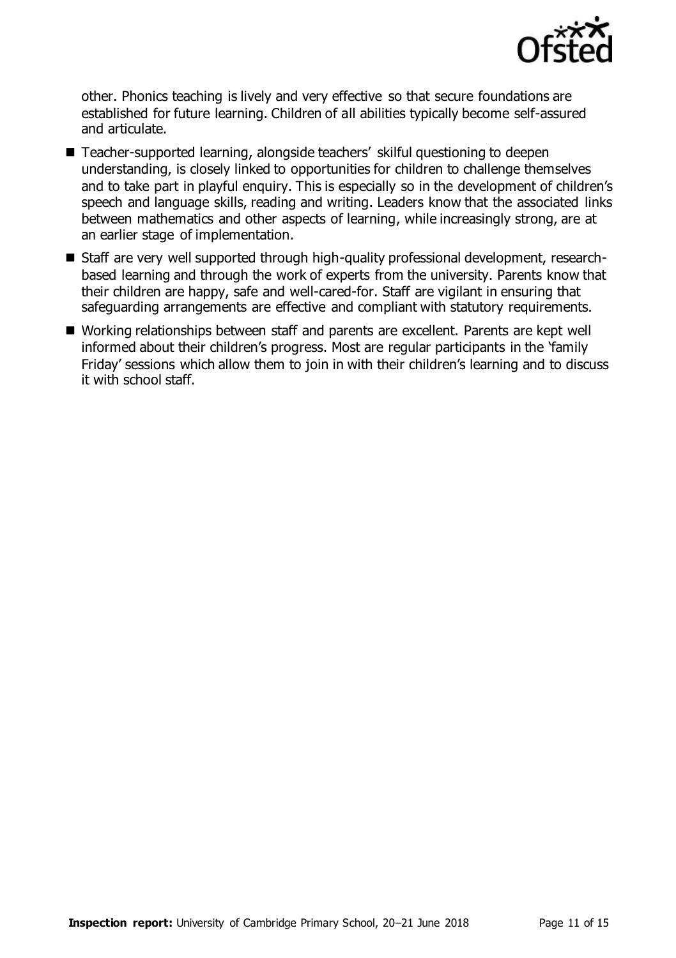

other. Phonics teaching is lively and very effective so that secure foundations are established for future learning. Children of all abilities typically become self-assured and articulate.

- Teacher-supported learning, alongside teachers' skilful questioning to deepen understanding, is closely linked to opportunities for children to challenge themselves and to take part in playful enquiry. This is especially so in the development of children's speech and language skills, reading and writing. Leaders know that the associated links between mathematics and other aspects of learning, while increasingly strong, are at an earlier stage of implementation.
- Staff are very well supported through high-quality professional development, researchbased learning and through the work of experts from the university. Parents know that their children are happy, safe and well-cared-for. Staff are vigilant in ensuring that safeguarding arrangements are effective and compliant with statutory requirements.
- Working relationships between staff and parents are excellent. Parents are kept well informed about their children's progress. Most are regular participants in the 'family Friday' sessions which allow them to join in with their children's learning and to discuss it with school staff.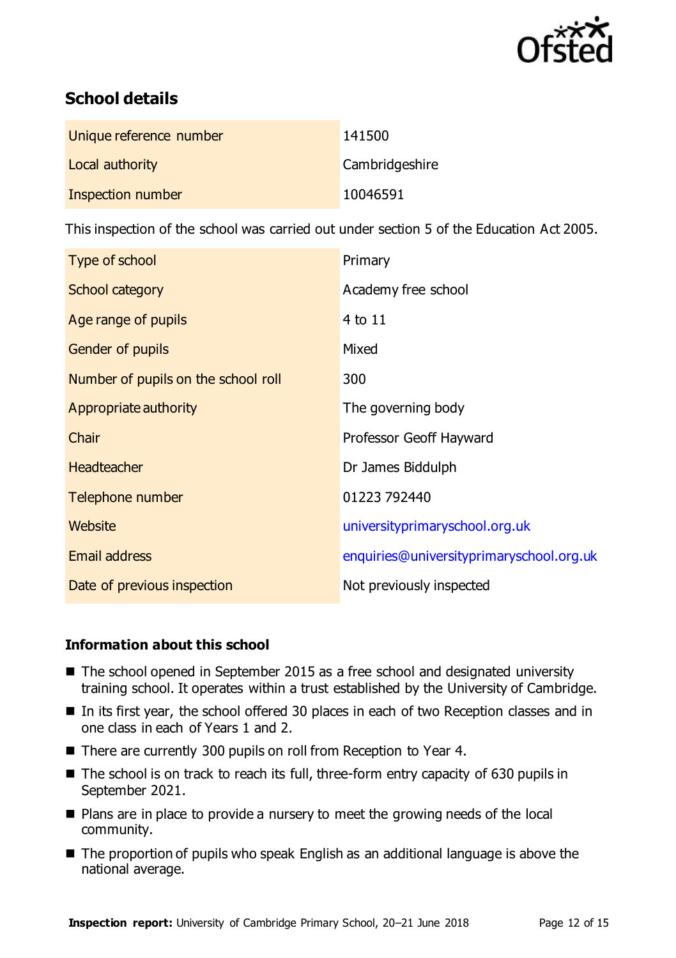

# **School details**

| Unique reference number | 141500         |
|-------------------------|----------------|
| Local authority         | Cambridgeshire |
| Inspection number       | 10046591       |

This inspection of the school was carried out under section 5 of the Education Act 2005.

| Type of school                      | Primary                                  |
|-------------------------------------|------------------------------------------|
| <b>School category</b>              | Academy free school                      |
| Age range of pupils                 | 4 to 11                                  |
| Gender of pupils                    | Mixed                                    |
| Number of pupils on the school roll | 300                                      |
| Appropriate authority               | The governing body                       |
| Chair                               | Professor Geoff Hayward                  |
| <b>Headteacher</b>                  | Dr James Biddulph                        |
| Telephone number                    | 01223 792440                             |
| Website                             | universityprimaryschool.org.uk           |
| <b>Email address</b>                | enquiries@universityprimaryschool.org.uk |
| Date of previous inspection         | Not previously inspected                 |

### **Information about this school**

- The school opened in September 2015 as a free school and designated university training school. It operates within a trust established by the University of Cambridge.
- In its first year, the school offered 30 places in each of two Reception classes and in one class in each of Years 1 and 2.
- There are currently 300 pupils on roll from Reception to Year 4.
- The school is on track to reach its full, three-form entry capacity of 630 pupils in September 2021.
- Plans are in place to provide a nursery to meet the growing needs of the local community.
- The proportion of pupils who speak English as an additional language is above the national average.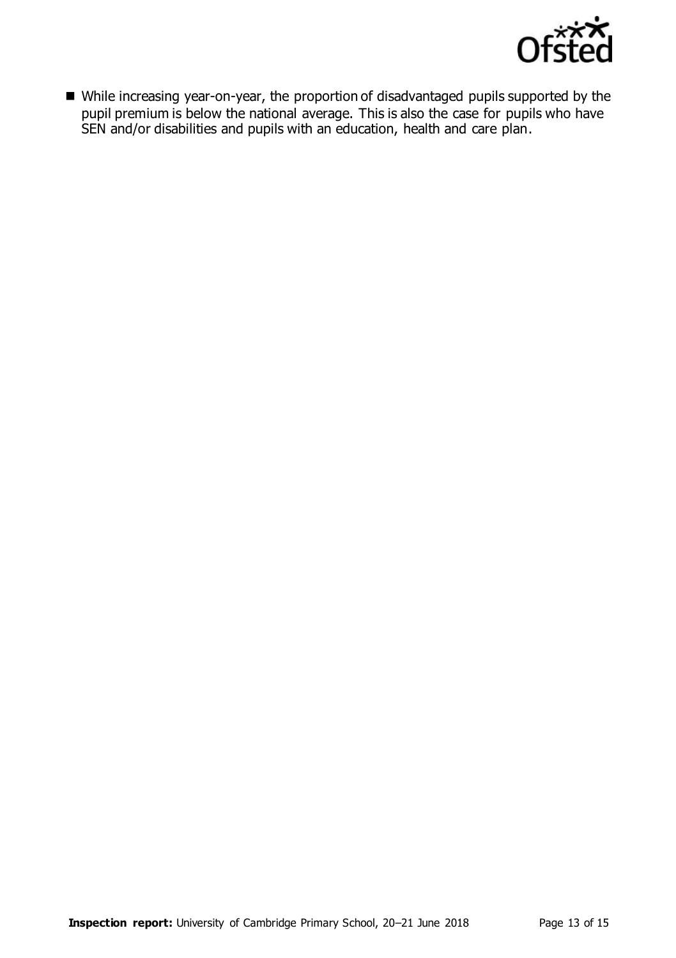

 While increasing year-on-year, the proportion of disadvantaged pupils supported by the pupil premium is below the national average. This is also the case for pupils who have SEN and/or disabilities and pupils with an education, health and care plan.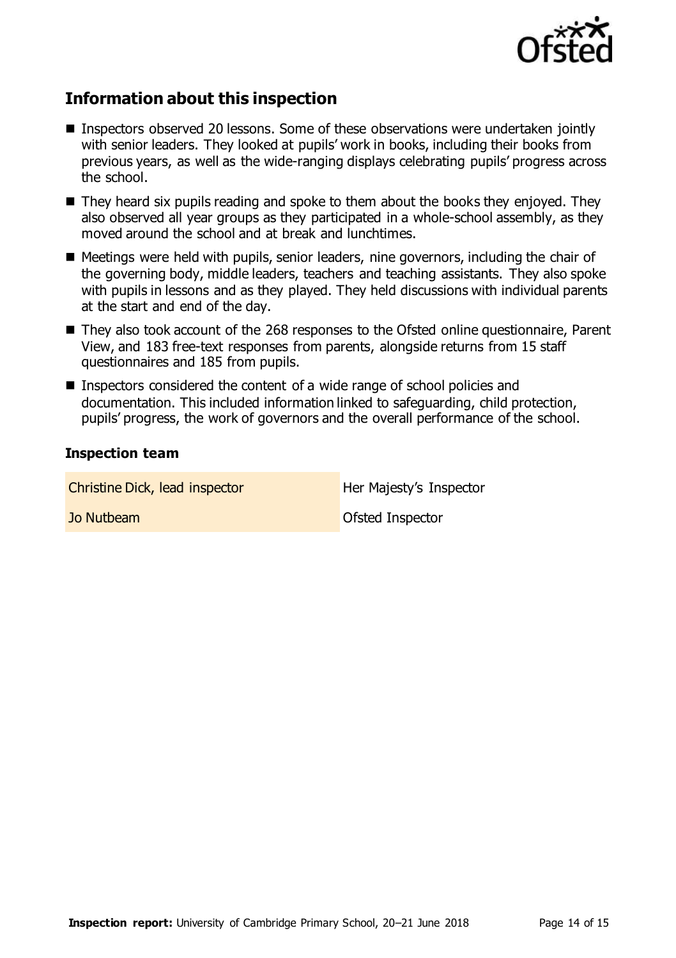

## **Information about this inspection**

- Inspectors observed 20 lessons. Some of these observations were undertaken jointly with senior leaders. They looked at pupils' work in books, including their books from previous years, as well as the wide-ranging displays celebrating pupils' progress across the school.
- They heard six pupils reading and spoke to them about the books they enjoyed. They also observed all year groups as they participated in a whole-school assembly, as they moved around the school and at break and lunchtimes.
- Meetings were held with pupils, senior leaders, nine governors, including the chair of the governing body, middle leaders, teachers and teaching assistants. They also spoke with pupils in lessons and as they played. They held discussions with individual parents at the start and end of the day.
- They also took account of the 268 responses to the Ofsted online questionnaire, Parent View, and 183 free-text responses from parents, alongside returns from 15 staff questionnaires and 185 from pupils.
- Inspectors considered the content of a wide range of school policies and documentation. This included information linked to safeguarding, child protection, pupils' progress, the work of governors and the overall performance of the school.

### **Inspection team**

| Christine Dick, lead inspector | Her Majesty's Inspector |
|--------------------------------|-------------------------|
| Jo Nutbeam                     | Ofsted Inspector        |